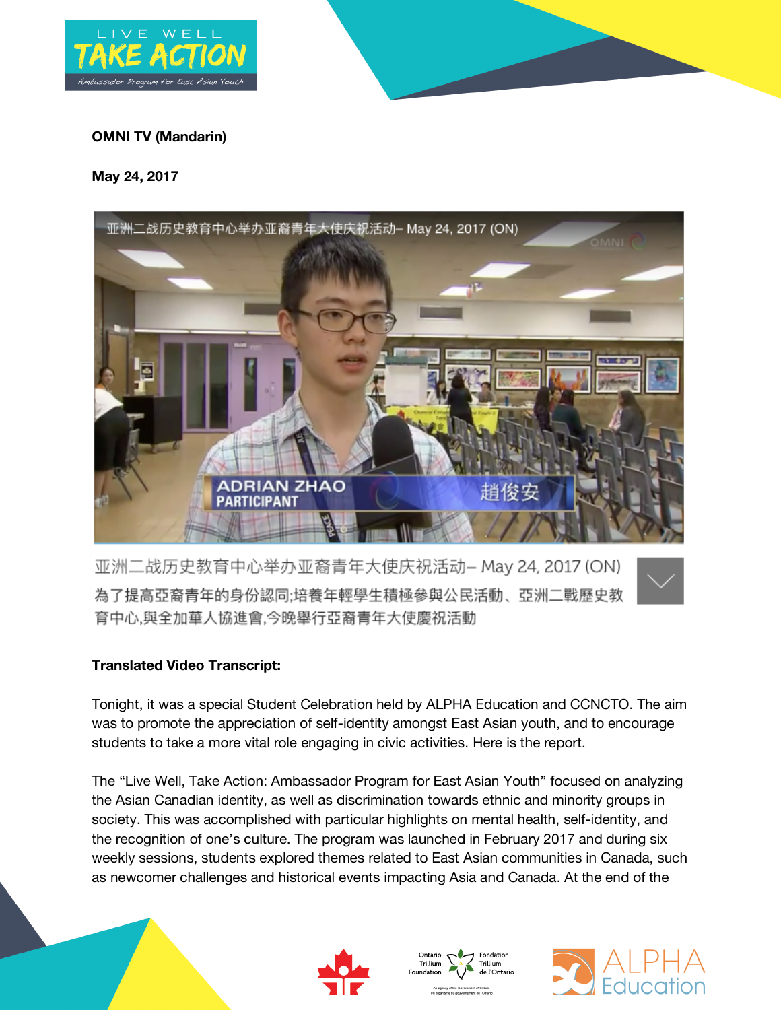

## **OMNI TV (Mandarin)**

## **May 24, 2017**



亚洲二战历史教育中心举办亚裔青年大使庆祝活动- May 24, 2017 (ON) 為了提高亞裔青年的身份認同;培養年輕學生積極參與公民活動、亞洲二戰歷史教 育中心,與全加華人協進會,今晚舉行亞裔青年大使慶祝活動



## **Translated Video Transcript:**

Tonight, it was a special Student Celebration held by ALPHA Education and CCNCTO. The aim was to promote the appreciation of self-identity amongst East Asian youth, and to encourage students to take a more vital role engaging in civic activities. Here is the report.

The "Live Well, Take Action: Ambassador Program for East Asian Youth" focused on analyzing the Asian Canadian identity, as well as discrimination towards ethnic and minority groups in society. This was accomplished with particular highlights on mental health, self-identity, and the recognition of one's culture. The program was launched in February 2017 and during six weekly sessions, students explored themes related to East Asian communities in Canada, such as newcomer challenges and historical events impacting Asia and Canada. At the end of the